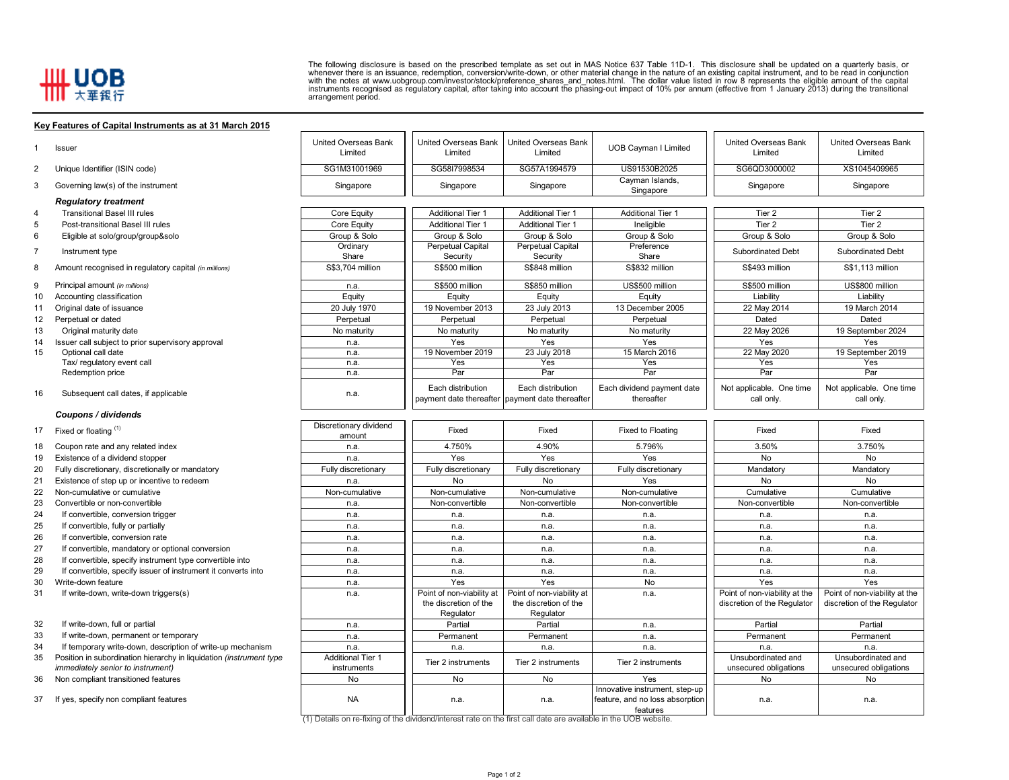## **HH UOB**

8

9

17

The following disclosure is based on the prescribed template as set out in MAS Notice 637 Table 11D-1. This disclosure shall be updated on a quarterly basis, or<br>whenever there is an issuance, redemption, conversion/write-d

## **Key Features of Capital Instruments as at 31 March 2015**

|    | Issuer                                                              | United Overseas Bank<br>Limited  | United Overseas Bank<br>Limited                    | United Overseas Bank<br>Limited                                      | <b>UOB Cayman I Limited</b>                 | <b>United Overseas Bank</b><br>Limited | <b>United Overseas Bank</b><br>Limited |
|----|---------------------------------------------------------------------|----------------------------------|----------------------------------------------------|----------------------------------------------------------------------|---------------------------------------------|----------------------------------------|----------------------------------------|
| 2  | Unique Identifier (ISIN code)                                       | SG1M31001969                     | SG58I7998534                                       | SG57A1994579                                                         | US91530B2025                                | SG6QD3000002                           | XS1045409965                           |
| 3  | Governing law(s) of the instrument                                  | Singapore                        | Singapore                                          | Singapore                                                            | Cayman Islands,<br>Singapore                | Singapore                              | Singapore                              |
|    | <b>Regulatory treatment</b>                                         |                                  |                                                    |                                                                      |                                             |                                        |                                        |
| 4  | <b>Transitional Basel III rules</b>                                 | Core Equity                      | <b>Additional Tier 1</b>                           | <b>Additional Tier 1</b>                                             | <b>Additional Tier 1</b>                    | Tier 2                                 | Tier 2                                 |
| 5  | Post-transitional Basel III rules                                   | Core Equity                      | <b>Additional Tier 1</b>                           | <b>Additional Tier 1</b>                                             | Ineligible                                  | Tier <sub>2</sub>                      | Tier 2                                 |
| 6  | Eligible at solo/group/group&solo                                   | Group & Solo                     | Group & Solo                                       | Group & Solo                                                         | Group & Solo                                | Group & Solo                           | Group & Solo                           |
|    | Instrument type                                                     | Ordinary<br>Share                | Perpetual Capital<br>Security                      | Perpetual Capital<br>Security                                        | Preference<br>Share                         | Subordinated Debt                      | Subordinated Debt                      |
| 8  | Amount recognised in regulatory capital (in millions)               | S\$3.704 million                 | S\$500 million                                     | S\$848 million                                                       | S\$832 million                              | S\$493 million                         | S\$1.113 million                       |
|    | Principal amount (in millions)                                      | n.a.                             | S\$500 million                                     | S\$850 million                                                       | US\$500 million                             | S\$500 million                         | US\$800 million                        |
| 10 | Accounting classification                                           | Equity                           | Equity                                             | Equity                                                               | Equity                                      | Liability                              | Liability                              |
| 11 | Original date of issuance                                           | 20 July 1970                     | 19 November 2013                                   | 23 July 2013                                                         | 13 December 2005                            | 22 May 2014                            | 19 March 2014                          |
| 12 | Perpetual or dated                                                  | Perpetual                        | Perpetual                                          | Perpetual                                                            | Perpetual                                   | Dated                                  | Dated                                  |
| 13 | Original maturity date                                              | No maturity                      | No maturity                                        | No maturity                                                          | No maturity                                 | 22 May 2026                            | 19 September 2024                      |
| 14 | Issuer call subject to prior supervisory approval                   | n.a.                             | Yes                                                | Yes                                                                  | Yes                                         | Yes                                    | Yes                                    |
| 15 | Optional call date                                                  | n.a.                             | 19 November 2019                                   | 23 July 2018                                                         | 15 March 2016                               | 22 May 2020                            | 19 September 2019                      |
|    | Tax/ regulatory event call                                          | n.a.                             | Yes                                                | Yes                                                                  | Yes                                         | Yes                                    | Yes                                    |
|    | Redemption price                                                    | n.a.                             | Par                                                | Par                                                                  | Par                                         | Par                                    | Par                                    |
| 16 | Subsequent call dates, if applicable                                | n.a.                             | Each distribution                                  | Each distribution<br>payment date thereafter payment date thereafter | Each dividend payment date<br>thereafter    | Not applicable. One time<br>call only. | Not applicable. One time<br>call only. |
|    | Coupons / dividends                                                 |                                  |                                                    |                                                                      |                                             |                                        |                                        |
| 17 | Fixed or floating (1)                                               | Discretionary dividend<br>amount | Fixed                                              | Fixed                                                                | Fixed to Floating                           | Fixed                                  | Fixed                                  |
| 18 | Coupon rate and any related index                                   | n.a.                             | 4.750%                                             | 4.90%                                                                | 5.796%                                      | 3.50%                                  | 3.750%                                 |
| 19 | Existence of a dividend stopper                                     | n.a.                             | Yes                                                | Yes                                                                  | Yes                                         | <b>No</b>                              | <b>No</b>                              |
| 20 | Fully discretionary, discretionally or mandatory                    | Fully discretionary              | Fully discretionary                                | Fully discretionary                                                  | Fully discretionary                         | Mandatory                              | Mandatory                              |
| 21 | Existence of step up or incentive to redeem                         | n.a.                             | No                                                 | No                                                                   | Yes                                         | No                                     | No                                     |
| 22 | Non-cumulative or cumulative                                        | Non-cumulative                   | Non-cumulative                                     | Non-cumulative                                                       | Non-cumulative                              | Cumulative                             | Cumulative                             |
| 23 | Convertible or non-convertible                                      | n.a.                             | Non-convertible                                    | Non-convertible                                                      | Non-convertible                             | Non-convertible                        | Non-convertible                        |
| 24 | If convertible, conversion trigger                                  | n.a.                             | n.a.                                               | n.a.                                                                 | n.a.                                        | n.a.                                   | n.a.                                   |
| 25 | If convertible, fully or partially                                  | n.a.                             | n.a.                                               | n.a.                                                                 | n.a.                                        | n.a.                                   | n.a.                                   |
| 26 | If convertible, conversion rate                                     | n.a.                             | n.a.                                               | n.a.                                                                 | n.a.                                        | n.a.                                   | n.a.                                   |
| 27 | If convertible, mandatory or optional conversion                    | n.a.                             | n.a.                                               | n.a.                                                                 | n.a.                                        | n.a.                                   | n.a.                                   |
| 28 | If convertible, specify instrument type convertible into            | n.a.                             | n.a.                                               | n.a.                                                                 | n.a.                                        | n.a.                                   | n.a.                                   |
| 29 | If convertible, specify issuer of instrument it converts into       | n.a.                             | n.a.                                               | n.a.                                                                 | n.a.                                        | n.a.                                   | n.a.                                   |
| 30 | Write-down feature                                                  | n.a.                             | Yes                                                | Yes                                                                  | No                                          | Yes                                    | Yes                                    |
| 31 | If write-down, write-down triggers(s)                               | n.a.                             | Point of non-viability at<br>the discretion of the | Point of non-viability at<br>the discretion of the                   | n.a.                                        | Point of non-viability at the          | Point of non-viability at the          |
|    |                                                                     |                                  | Regulator                                          | Regulator                                                            |                                             | discretion of the Regulator            | discretion of the Regulator            |
| 32 | If write-down, full or partial                                      | n.a.                             | Partial                                            | Partial                                                              | n.a.                                        | Partial                                | Partial                                |
| 33 | If write-down, permanent or temporary                               |                                  |                                                    |                                                                      |                                             |                                        | Permanent                              |
| 34 | If temporary write-down, description of write-up mechanism          | n.a.<br>n.a.                     | Permanent<br>n.a.                                  | Permanent                                                            | n.a.<br>n.a.                                | Permanent<br>n.a.                      | n.a.                                   |
| 35 | Position in subordination hierarchy in liquidation (instrument type | <b>Additional Tier 1</b>         |                                                    | n.a.                                                                 |                                             | Unsubordinated and                     | Unsubordinated and                     |
|    | <i>immediately senior to instrument)</i>                            | instruments                      | Tier 2 instruments                                 | Tier 2 instruments                                                   | Tier 2 instruments                          | unsecured obligations                  | unsecured obligations                  |
| 36 | Non compliant transitioned features                                 | <b>No</b>                        | <b>No</b>                                          | <b>No</b>                                                            | Yes                                         | <b>No</b>                              | <b>No</b>                              |
|    |                                                                     |                                  |                                                    |                                                                      | Innovative instrument, step-up              |                                        |                                        |
| 37 | If yes, specify non compliant features                              | <b>NA</b>                        | n.a.                                               | n.a.                                                                 | feature, and no loss absorption<br>features | n.a.                                   | n.a.                                   |

features (1) Details on re-fixing of the dividend/interest rate on the first call date are available in the UOB website.